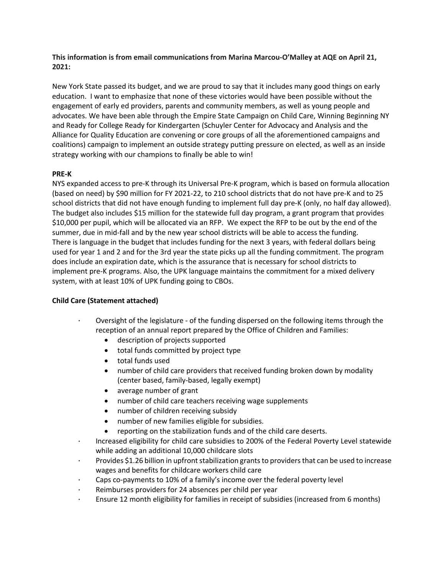**This information is from email communications from Marina Marcou-O'Malley at AQE on April 21, 2021:** 

New York State passed its budget, and we are proud to say that it includes many good things on early education. I want to emphasize that none of these victories would have been possible without the engagement of early ed providers, parents and community members, as well as young people and advocates. We have been able through the Empire State Campaign on Child Care, Winning Beginning NY and Ready for College Ready for Kindergarten (Schuyler Center for Advocacy and Analysis and the Alliance for Quality Education are convening or core groups of all the aforementioned campaigns and coalitions) campaign to implement an outside strategy putting pressure on elected, as well as an inside strategy working with our champions to finally be able to win!

## **PRE-K**

NYS expanded access to pre-K through its Universal Pre-K program, which is based on formula allocation (based on need) by \$90 million for FY 2021-22, to 210 school districts that do not have pre-K and to 25 school districts that did not have enough funding to implement full day pre-K (only, no half day allowed). The budget also includes \$15 million for the statewide full day program, a grant program that provides \$10,000 per pupil, which will be allocated via an RFP. We expect the RFP to be out by the end of the summer, due in mid-fall and by the new year school districts will be able to access the funding. There is language in the budget that includes funding for the next 3 years, with federal dollars being used for year 1 and 2 and for the 3rd year the state picks up all the funding commitment. The program does include an expiration date, which is the assurance that is necessary for school districts to implement pre-K programs. Also, the UPK language maintains the commitment for a mixed delivery system, with at least 10% of UPK funding going to CBOs.

## **Child Care (Statement attached)**

- Oversight of the legislature of the funding dispersed on the following items through the reception of an annual report prepared by the Office of Children and Families:
	- description of projects supported
	- total funds committed by project type
	- total funds used
	- number of child care providers that received funding broken down by modality (center based, family-based, legally exempt)
	- average number of grant
	- number of child care teachers receiving wage supplements
	- number of children receiving subsidy
	- number of new families eligible for subsidies.
	- reporting on the stabilization funds and of the child care deserts.
- · Increased eligibility for child care subsidies to 200% of the Federal Poverty Level statewide while adding an additional 10,000 childcare slots
- · Provides \$1.26 billion in upfront stabilization grants to providers that can be used to increase wages and benefits for childcare workers child care
- · Caps co-payments to 10% of a family's income over the federal poverty level
- Reimburses providers for 24 absences per child per year
- Ensure 12 month eligibility for families in receipt of subsidies (increased from 6 months)